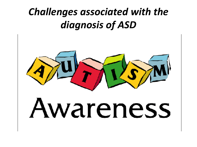#### *Challenges associated with the diagnosis of ASD*



# wareness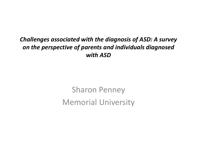#### *Challenges associated with the diagnosis of ASD: A survey on the perspective of parents and individuals diagnosed with ASD*

Sharon Penney Memorial University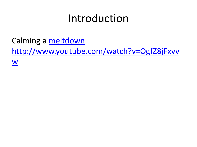#### Introduction

Calming a [meltdown](http://www.youtube.com/watch?v=OgfZ8jFxvvw)

[http://www.youtube.com/watch?v=OgfZ8jFxvv](http://www.youtube.com/watch?v=OgfZ8jFxvvw)

[w](http://www.youtube.com/watch?v=OgfZ8jFxvvw)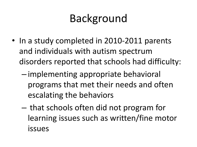# Background

- In a study completed in 2010-2011 parents and individuals with autism spectrum disorders reported that schools had difficulty:
	- implementing appropriate behavioral programs that met their needs and often escalating the behaviors
	- that schools often did not program for learning issues such as written/fine motor issues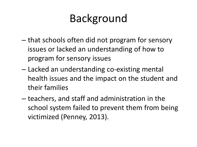# Background

- that schools often did not program for sensory issues or lacked an understanding of how to program for sensory issues
- Lacked an understanding co-existing mental health issues and the impact on the student and their families
- teachers, and staff and administration in the school system failed to prevent them from being victimized (Penney, 2013).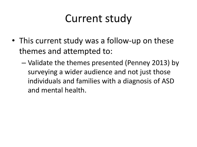#### Current study

- This current study was a follow-up on these themes and attempted to:
	- Validate the themes presented (Penney 2013) by surveying a wider audience and not just those individuals and families with a diagnosis of ASD and mental health.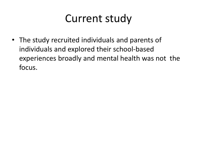#### Current study

• The study recruited individuals and parents of individuals and explored their school-based experiences broadly and mental health was not the focus.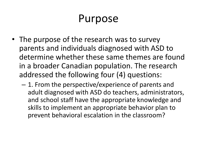#### Purpose

- The purpose of the research was to survey parents and individuals diagnosed with ASD to determine whether these same themes are found in a broader Canadian population. The research addressed the following four (4) questions:
	- 1. From the perspective/experience of parents and adult diagnosed with ASD do teachers, administrators, and school staff have the appropriate knowledge and skills to implement an appropriate behavior plan to prevent behavioral escalation in the classroom?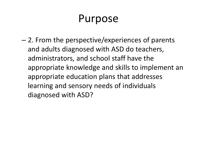#### Purpose

– 2. From the perspective/experiences of parents and adults diagnosed with ASD do teachers, administrators, and school staff have the appropriate knowledge and skills to implement an appropriate education plans that addresses learning and sensory needs of individuals diagnosed with ASD?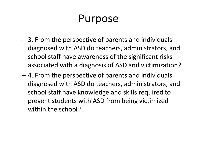#### Purpose

- 3. From the perspective of parents and individuals diagnosed with ASD do teachers, administrators, and school staff have awareness of the significant risks associated with a diagnosis of ASD and victimization?
- 4. From the perspective of parents and individuals diagnosed with ASD do teachers, administrators, and school staff have knowledge and skills required to prevent students with ASD from being victimized within the school?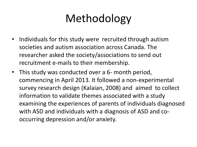# Methodology

- Individuals for this study were recruited through autism societies and autism association across Canada. The researcher asked the society/associations to send out recruitment e-mails to their membership.
- This study was conducted over a 6- month period, commencing in April 2013. It followed a non-experimental survey research design (Kalaian, 2008) and aimed to collect information to validate themes associated with a study examining the experiences of parents of individuals diagnosed with ASD and individuals with a diagnosis of ASD and cooccurring depression and/or anxiety.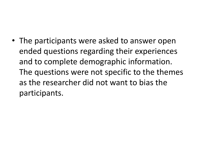• The participants were asked to answer open ended questions regarding their experiences and to complete demographic information. The questions were not specific to the themes as the researcher did not want to bias the participants.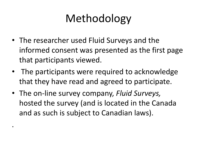# Methodology

- The researcher used Fluid Surveys and the informed consent was presented as the first page that participants viewed.
- The participants were required to acknowledge that they have read and agreed to participate.
- The on-line survey company, *Fluid Surveys,* hosted the survey (and is located in the Canada and as such is subject to Canadian laws).

.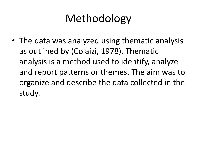# Methodology

• The data was analyzed using thematic analysis as outlined by (Colaizi, 1978). Thematic analysis is a method used to identify, analyze and report patterns or themes. The aim was to organize and describe the data collected in the study.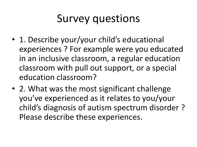#### Survey questions

- 1. Describe your/your child's educational experiences ? For example were you educated in an inclusive classroom, a regular education classroom with pull out support, or a special education classroom?
- 2. What was the most significant challenge you've experienced as it relates to you/your child's diagnosis of autism spectrum disorder ? Please describe these experiences.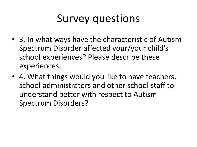#### Survey questions

- 3. In what ways have the characteristic of Autism Spectrum Disorder affected your/your child's school experiences? Please describe these experiences.
- 4. What things would you like to have teachers, school administrators and other school staff to understand better with respect to Autism Spectrum Disorders?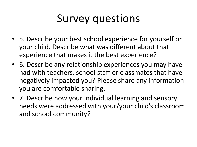#### Survey questions

- 5. Describe your best school experience for yourself or your child. Describe what was different about that experience that makes it the best experience?
- 6. Describe any relationship experiences you may have had with teachers, school staff or classmates that have negatively impacted you? Please share any information you are comfortable sharing.
- 7. Describe how your individual learning and sensory needs were addressed with your/your child's classroom and school community?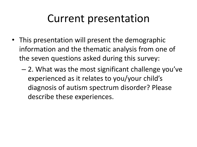#### Current presentation

- This presentation will present the demographic information and the thematic analysis from one of the seven questions asked during this survey:
	- 2. What was the most significant challenge you've experienced as it relates to you/your child's diagnosis of autism spectrum disorder? Please describe these experiences.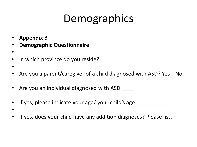# Demographics

- **Appendix B**
- **Demographic Questionnaire**
- •
- In which province do you reside?
- •
- Are you a parent/caregiver of a child diagnosed with ASD? Yes—No
- Are you an individual diagnosed with ASD
- If yes, please indicate your age/ your child's age \_
- •
- If yes, does your child have any addition diagnoses? Please list.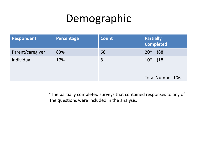# Demographic

| Respondent       | Percentage | <b>Count</b> | <b>Partially</b><br><b>Completed</b> |
|------------------|------------|--------------|--------------------------------------|
| Parent/caregiver | 83%        | 68           | $20*$<br>(88)                        |
| Individual       | 17%        | 8            | $10*$<br>(18)                        |
|                  |            |              | <b>Total Number 106</b>              |

\*The partially completed surveys that contained responses to any of the questions were included in the analysis.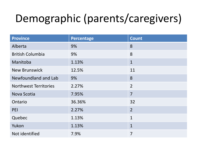# Demographic (parents/caregivers)

| <b>Province</b>              | Percentage | <b>Count</b>   |
|------------------------------|------------|----------------|
| Alberta                      | 9%         | 8              |
| <b>British Columbia</b>      | 9%         | 8              |
| Manitoba                     | 1.13%      | $\mathbf{1}$   |
| <b>New Brunswick</b>         | 12.5%      | 11             |
| Newfoundland and Lab         | 9%         | 8              |
| <b>Northwest Territories</b> | 2.27%      | $\overline{2}$ |
| Nova Scotia                  | 7.95%      | $\overline{7}$ |
| Ontario                      | 36.36%     | 32             |
| PEI                          | 2.27%      | $\overline{2}$ |
| Quebec                       | 1.13%      | $\mathbf{1}$   |
| Yukon                        | 1.13%      | $\mathbf{1}$   |
| Not identified               | 7.9%       | $\overline{7}$ |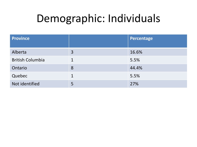#### Demographic: Individuals

| <b>Province</b>         |   | Percentage |
|-------------------------|---|------------|
| Alberta                 | 3 | 16.6%      |
| <b>British Columbia</b> |   | 5.5%       |
| Ontario                 | 8 | 44.4%      |
| Quebec                  | 1 | 5.5%       |
| Not identified          | 5 | 27%        |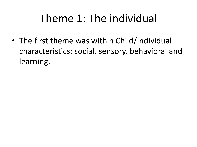#### Theme 1: The individual

• The first theme was within Child/Individual characteristics; social, sensory, behavioral and learning.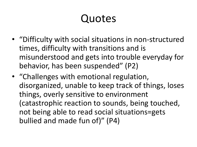- "Difficulty with social situations in non-structured times, difficulty with transitions and is misunderstood and gets into trouble everyday for behavior, has been suspended" (P2)
- "Challenges with emotional regulation, disorganized, unable to keep track of things, loses things, overly sensitive to environment (catastrophic reaction to sounds, being touched, not being able to read social situations=gets bullied and made fun of)" (P4)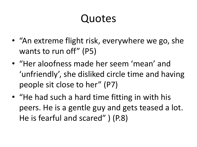- "An extreme flight risk, everywhere we go, she wants to run off" (P5)
- "Her aloofness made her seem 'mean' and 'unfriendly', she disliked circle time and having people sit close to her" (P7)
- "He had such a hard time fitting in with his peers. He is a gentle guy and gets teased a lot. He is fearful and scared" ) (P.8)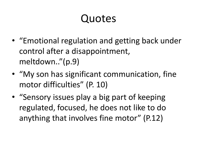- "Emotional regulation and getting back under control after a disappointment, meltdown.."(p.9)
- "My son has significant communication, fine motor difficulties" (P. 10)
- "Sensory issues play a big part of keeping regulated, focused, he does not like to do anything that involves fine motor" (P.12)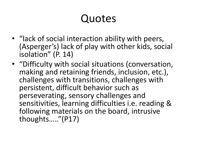- "lack of social interaction ability with peers, (Asperger's) lack of play with other kids, social isolation" (P. 14)
- "Difficulty with social situations (conversation, making and retaining friends, inclusion, etc.), challenges with transitions, challenges with persistent, difficult behavior such as perseverating, sensory challenges and sensitivities, learning difficulties i.e. reading & following materials on the board, intrusive thoughts….."(P17)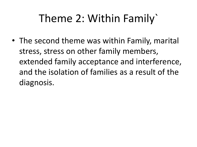# Theme 2: Within Family`

• The second theme was within Family, marital stress, stress on other family members, extended family acceptance and interference, and the isolation of families as a result of the diagnosis.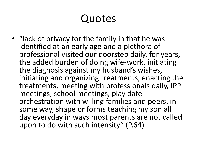• "lack of privacy for the family in that he was identified at an early age and a plethora of professional visited our doorstep daily, for years, the added burden of doing wife-work, initiating the diagnosis against my husband's wishes, initiating and organizing treatments, enacting the treatments, meeting with professionals daily, IPP meetings, school meetings, play date orchestration with willing families and peers, in some way, shape or forms teaching my son all day everyday in ways most parents are not called upon to do with such intensity" (P.64)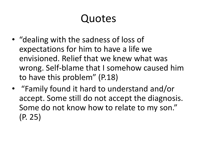- "dealing with the sadness of loss of expectations for him to have a life we envisioned. Relief that we knew what was wrong. Self-blame that I somehow caused him to have this problem" (P.18)
- "Family found it hard to understand and/or accept. Some still do not accept the diagnosis. Some do not know how to relate to my son." (P. 25)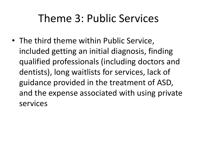#### Theme 3: Public Services

• The third theme within Public Service, included getting an initial diagnosis, finding qualified professionals (including doctors and dentists), long waitlists for services, lack of guidance provided in the treatment of ASD, and the expense associated with using private services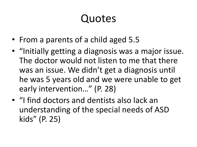- From a parents of a child aged 5.5
- "Initially getting a diagnosis was a major issue. The doctor would not listen to me that there was an issue. We didn't get a diagnosis until he was 5 years old and we were unable to get early intervention…" (P. 28)
- "I find doctors and dentists also lack an understanding of the special needs of ASD kids" (P. 25)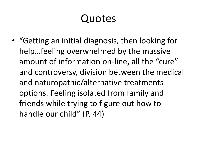• "Getting an initial diagnosis, then looking for help…feeling overwhelmed by the massive amount of information on-line, all the "cure" and controversy, division between the medical and naturopathic/alternative treatments options. Feeling isolated from family and friends while trying to figure out how to handle our child" (P. 44)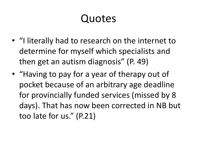- "I literally had to research on the internet to determine for myself which specialists and then get an autism diagnosis" (P. 49)
- "Having to pay for a year of therapy out of pocket because of an arbitrary age deadline for provincially funded services (missed by 8 days). That has now been corrected in NB but too late for us." (P.21)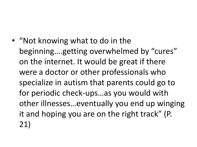• "Not knowing what to do in the beginning….getting overwhelmed by "cures" on the internet. It would be great if there were a doctor or other professionals who specialize in autism that parents could go to for periodic check-ups…as you would with other illnesses…eventually you end up winging it and hoping you are on the right track" (P. 21)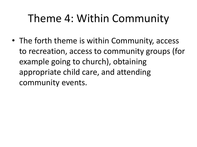#### Theme 4: Within Community

• The forth theme is within Community, access to recreation, access to community groups (for example going to church), obtaining appropriate child care, and attending community events.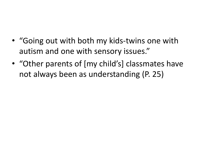- "Going out with both my kids-twins one with autism and one with sensory issues."
- "Other parents of [my child's] classmates have not always been as understanding (P. 25)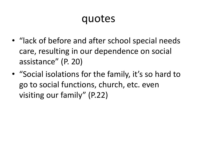- "lack of before and after school special needs care, resulting in our dependence on social assistance" (P. 20)
- "Social isolations for the family, it's so hard to go to social functions, church, etc. even visiting our family" (P.22)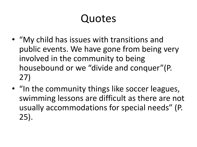- "My child has issues with transitions and public events. We have gone from being very involved in the community to being housebound or we "divide and conquer"(P. 27)
- "In the community things like soccer leagues, swimming lessons are difficult as there are not usually accommodations for special needs" (P. 25).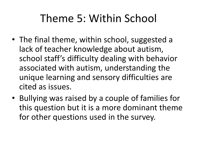#### Theme 5: Within School

- The final theme, within school, suggested a lack of teacher knowledge about autism, school staff's difficulty dealing with behavior associated with autism, understanding the unique learning and sensory difficulties are cited as issues.
- Bullying was raised by a couple of families for this question but it is a more dominant theme for other questions used in the survey.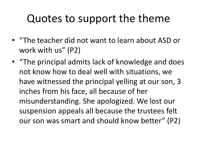#### Quotes to support the theme

- "The teacher did not want to learn about ASD or work with us" (P2)
- "The principal admits lack of knowledge and does not know how to deal well with situations, we have witnessed the principal yelling at our son, 3 inches from his face, all because of her misunderstanding. She apologized. We lost our suspension appeals all because the trustees felt our son was smart and should know better" (P2)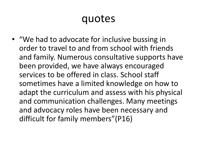• "We had to advocate for inclusive bussing in order to travel to and from school with friends and family. Numerous consultative supports have been provided, we have always encouraged services to be offered in class. School staff sometimes have a limited knowledge on how to adapt the curriculum and assess with his physical and communication challenges. Many meetings and advocacy roles have been necessary and difficult for family members"(P16)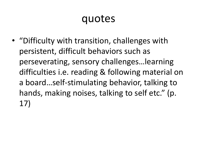• "Difficulty with transition, challenges with persistent, difficult behaviors such as perseverating, sensory challenges…learning difficulties i.e. reading & following material on a board…self-stimulating behavior, talking to hands, making noises, talking to self etc." (p. 17)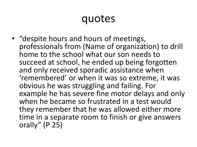• "despite hours and hours of meetings, professionals from (Name of organization) to drill home to the school what our son needs to succeed at school, he ended up being forgotten and only received sporadic assistance when 'remembered' or when it was so extreme, it was obvious he was struggling and failing. For example he has severe fine motor delays and only when he became so frustrated in a test would they remember that he was allowed either more time in a separate room to finish or give answers orally" (P 25)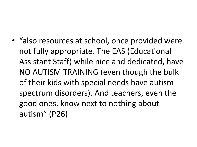• "also resources at school, once provided were not fully appropriate. The EAS (Educational Assistant Staff) while nice and dedicated, have NO AUTISM TRAINING (even though the bulk of their kids with special needs have autism spectrum disorders). And teachers, even the good ones, know next to nothing about autism" (P26)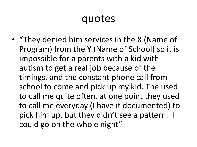• "They denied him services in the X (Name of Program) from the Y (Name of School) so it is impossible for a parents with a kid with autism to get a real job because of the timings, and the constant phone call from school to come and pick up my kid. The used to call me quite often, at one point they used to call me everyday (I have it documented) to pick him up, but they didn't see a pattern…I could go on the whole night"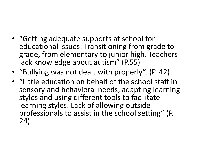- "Getting adequate supports at school for educational issues. Transitioning from grade to grade, from elementary to junior high. Teachers lack knowledge about autism" (P.55)
- "Bullying was not dealt with properly". (P. 42)
- "Little education on behalf of the school staff in sensory and behavioral needs, adapting learning styles and using different tools to facilitate learning styles. Lack of allowing outside professionals to assist in the school setting" (P. 24)